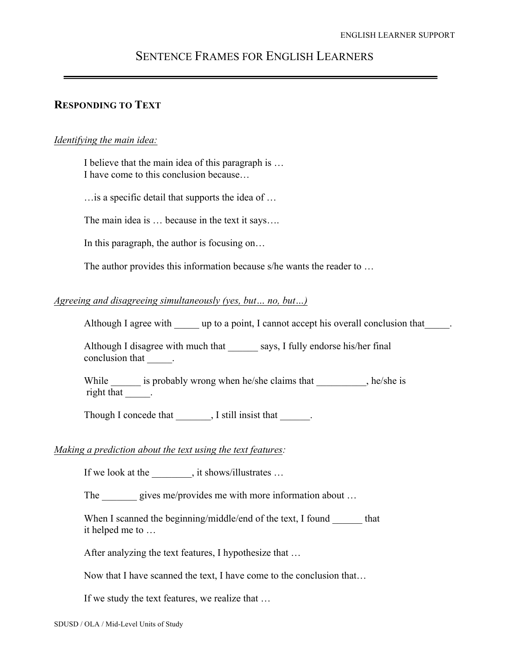# SENTENCE FRAMES FOR ENGLISH LEARNERS

## **RESPONDING TO TEXT**

#### *Identifying the main idea:*

I believe that the main idea of this paragraph is … I have come to this conclusion because…

…is a specific detail that supports the idea of …

The main idea is … because in the text it says….

In this paragraph, the author is focusing on…

The author provides this information because s/he wants the reader to …

#### *Agreeing and disagreeing simultaneously (yes, but… no, but…)*

Although I agree with \_\_\_\_\_ up to a point, I cannot accept his overall conclusion that

Although I disagree with much that says, I fully endorse his/her final conclusion that  $\qquad$ .

While \_\_\_\_\_\_\_ is probably wrong when he/she claims that \_\_\_\_\_\_\_, he/she is right that  $\qquad$ .

Though I concede that  $\qquad \qquad$ , I still insist that

#### *Making a prediction about the text using the text features:*

If we look at the \_\_\_\_\_\_\_\_, it shows/illustrates …

The gives me/provides me with more information about ...

When I scanned the beginning/middle/end of the text, I found \_\_\_\_\_\_\_ that it helped me to …

After analyzing the text features, I hypothesize that …

Now that I have scanned the text, I have come to the conclusion that…

If we study the text features, we realize that …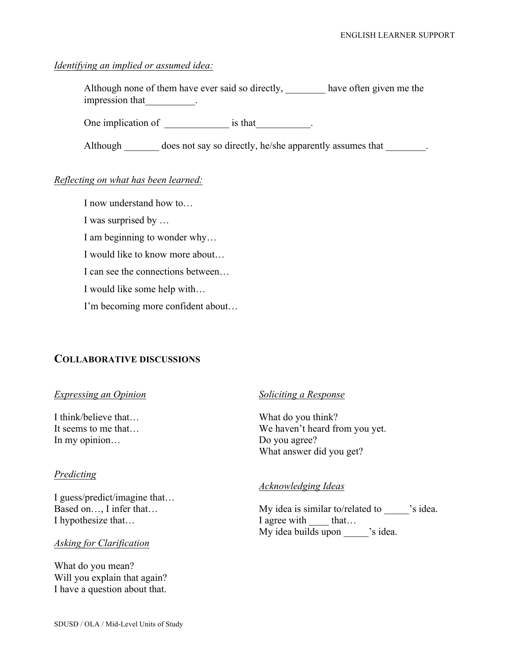### *Identifying an implied or assumed idea:*

Although none of them have ever said so directly, \_\_\_\_\_\_\_\_\_ have often given me the impression that\_\_\_\_\_\_\_\_\_\_.

One implication of \_\_\_\_\_\_\_\_\_\_\_\_\_\_\_\_\_\_\_\_\_\_\_\_\_\_\_\_\_\_\_\_\_.

Although does not say so directly, he/she apparently assumes that

## *Reflecting on what has been learned:*

I now understand how to…

I was surprised by …

I am beginning to wonder why…

I would like to know more about…

I can see the connections between…

I would like some help with…

I'm becoming more confident about…

## **COLLABORATIVE DISCUSSIONS**

#### *Expressing an Opinion*

I think/believe that… It seems to me that… In my opinion…

## *Predicting*

I guess/predict/imagine that… Based on…, I infer that… I hypothesize that…

#### *Asking for Clarification*

What do you mean? Will you explain that again? I have a question about that.

#### *Soliciting a Response*

What do you think? We haven't heard from you yet. Do you agree? What answer did you get?

#### *Acknowledging Ideas*

My idea is similar to/related to  $\qquad$  's idea. I agree with that… My idea builds upon 's idea.